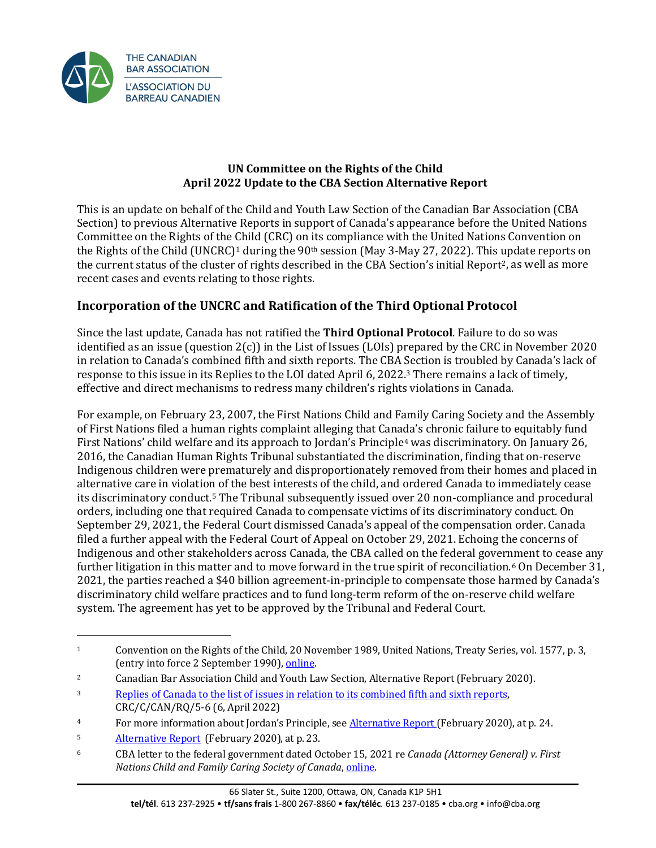

### **UN Committee on the Rights of the Child April 2022 Update to the CBA Section Alternative Report**

This is an update on behalf of the Child and Youth Law Section of the Canadian Bar Association (CBA Section) to previous Alternative Reports in support of Canada's appearance before the United Nations Committee on the Rights of the Child (CRC) on its compliance with the United Nations Convention on the Rights of the Child (UNCRC)<sup>1</sup> during the 90<sup>th</sup> session (May 3-May 27, 2022). This update reports on the current status of the cluster of rights described in the CBA Section's initial Report<sup>2</sup>, as well as more recent cases and events relating to those rights.

## **Incorporation of the UNCRC and Ratification of the Third Optional Protocol**

Since the last update, Canada has not ratified the **Third Optional Protocol**. Failure to do so was identified as an issue (question  $2(c)$ ) in the List of Issues (LOIs) prepared by the CRC in November 2020 in relation to Canada's combined fifth and sixth reports. The CBA Section is troubled by Canada's lack of response to this issue in its Replies to the LOI dated April 6, 2022.3 There remains a lack of timely, effective and direct mechanisms to redress many children's rights violations in Canada.

For example, on February 23, 2007, the First Nations Child and Family Caring Society and the Assembly of First Nations filed a human rights complaint alleging that Canada's chronic failure to equitably fund First Nations' child welfare and its approach to Jordan's Principle4 was discriminatory. On January 26, 2016, the Canadian Human Rights Tribunal substantiated the discrimination, finding that on-reserve Indigenous children were prematurely and disproportionately removed from their homes and placed in alternative care in violation of the best interests of the child, and ordered Canada to immediately cease its discriminatory conduct.5 The Tribunal subsequently issued over 20 non-compliance and procedural orders, including one that required Canada to compensate victims of its discriminatory conduct. On September 29, 2021, the Federal Court dismissed Canada's appeal of the compensation order. Canada filed a further appeal with the Federal Court of Appeal on October 29, 2021. Echoing the concerns of Indigenous and other stakeholders across Canada, the CBA called on the federal government to cease any further litigation in this matter and to move forward in the true spirit of reconciliation.<sup>6</sup> On December 31, 2021, the parties reached a \$40 billion agreement-in-principle to compensate those harmed by Canada's discriminatory child welfare practices and to fund long-term reform of the on-reserve child welfare system. The agreement has yet to be approved by the Tribunal and Federal Court.

<sup>1</sup> Convention on the Rights of the Child, 20 November 1989, United Nations, Treaty Series, vol. 1577, p. 3, (entry into force 2 September 1990), [online.](https://www.unicef-irc.org/portfolios/crc.html) 

<sup>2</sup> Canadian Bar Association Child and Youth Law Section, Alternative Report (February 2020).

<sup>3</sup> [Replies of Canada to the list of issues in relation to its combined fifth and sixth reports,](https://tbinternet.ohchr.org/_layouts/15/treatybodyexternal/Download.aspx?symbolno=CRC%2fC%2fCAN%2fRQ%2f5-6&Lang=en) CRC/C/CAN/RQ/5-6 (6, April 2022)

<sup>&</sup>lt;sup>4</sup> For more information about Jordan's Principle, see **Alternative Report** (February 2020), at p. 24.

<sup>&</sup>lt;sup>5</sup> [Alternative](https://www.cba.org/CMSPages/GetFile.aspx?guid=fdb96dc7-35e0-4b6d-8918-40ba6607582a) Report (February 2020), at p. 23.<br> $\frac{6}{100}$  CBA letter to the federal government dated 0.

<sup>6</sup> CBA letter to the federal government dated October 15, 2021 re *Canada (Attorney General) v. First* **Nations Child and Family Caring Society of Canada, online.**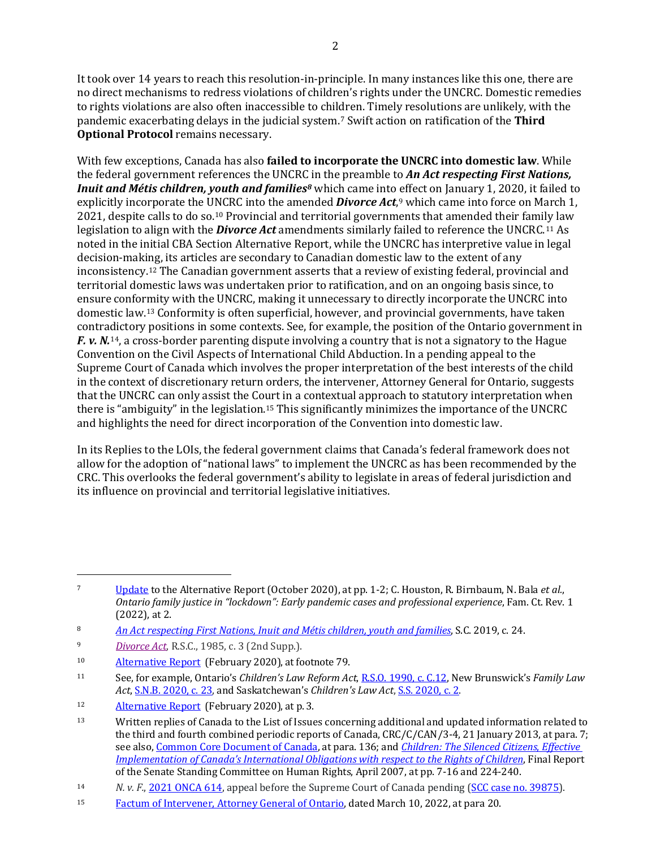It took over 14 years to reach this resolution-in-principle. In many instances like this one, there are no direct mechanisms to redress violations of children's rights under the UNCRC. Domestic remedies to rights violations are also often inaccessible to children. Timely resolutions are unlikely, with the pandemic exacerbating delays in the judicial system.7 Swift action on ratification of the **Third Optional Protocol** remains necessary.

With few exceptions, Canada has also **failed to incorporate the UNCRC into domestic law**. While the federal government references the UNCRC in the preamble to *An Act respecting First Nations, Inuit and Métis children, youth and families8* which came into effect on January 1, 2020, it failed to explicitly incorporate the UNCRC into the amended *Divorce Act*,9 which came into force on March 1, 2021, despite calls to do so.10 Provincial and territorial governments that amended their family law legislation to align with the *Divorce Act* amendments similarly failed to reference the UNCRC.11 As noted in the initial CBA Section Alternative Report, while the UNCRC has interpretive value in legal decision-making, its articles are secondary to Canadian domestic law to the extent of any inconsistency.12 The Canadian government asserts that a review of existing federal, provincial and territorial domestic laws was undertaken prior to ratification, and on an ongoing basis since, to ensure conformity with the UNCRC, making it unnecessary to directly incorporate the UNCRC into domestic law.13 Conformity is often superficial, however, and provincial governments, have taken contradictory positions in some contexts. See, for example, the position of the Ontario government in *F. v. N.*<sup>14</sup>, a cross-border parenting dispute involving a country that is not a signatory to the Hague Convention on the Civil Aspects of International Child Abduction. In a pending appeal to the Supreme Court of Canada which involves the proper interpretation of the best interests of the child in the context of discretionary return orders, the intervener, Attorney General for Ontario, suggests that the UNCRC can only assist the Court in a contextual approach to statutory interpretation when there is "ambiguity" in the legislation.15 This significantly minimizes the importance of the UNCRC and highlights the need for direct incorporation of the Convention into domestic law.

In its Replies to the LOIs, the federal government claims that Canada's federal framework does not allow for the adoption of "national laws" to implement the UNCRC as has been recommended by the CRC. This overlooks the federal government's ability to legislate in areas of federal jurisdiction and its influence on provincial and territorial legislative initiatives.

<sup>7</sup> [Update](https://www.cba.org/CMSPages/GetFile.aspx?guid=9d2fb019-31e6-4466-ab8a-bcfd0f4095bf) to the Alternative Report (October 2020), at pp. 1-2; C. Houston, R. Birnbaum, N. Bala *et al.*, *Ontario family justice in "lockdown": Early pandemic cases and professional experience*, Fam. Ct. Rev. 1 (2022), at 2.

<sup>8</sup> *[An Act respecting First Nations, Inuit and Métis children, youth and families](https://laws.justice.gc.ca/eng/acts/F-11.73/index.html)*, S.C. 2019, c. 24.

<sup>9</sup> *[Divorce Act](https://laws-lois.justice.gc.ca/eng/acts/d-3.4/)*, R.S.C., 1985, c. 3 (2nd Supp.).

<sup>10</sup> [Alternative](https://www.cba.org/CMSPages/GetFile.aspx?guid=fdb96dc7-35e0-4b6d-8918-40ba6607582a) Report (February 2020), at footnote 79.

<sup>11</sup> See, for example, Ontario's *Children's Law Reform Act*[, R.S.O. 1990, c. C.12,](https://www.ontario.ca/laws/statute/90c12) New Brunswick's *Family Law Act*, [S.N.B. 2020, c. 23,](https://canlii.ca/t/55c2s) and Saskatchewan's *Children's Law Act*[, S.S. 2020, c. 2.](https://canlii.ca/t/54x3k)

<sup>12</sup> [Alternative](https://www.cba.org/CMSPages/GetFile.aspx?guid=fdb96dc7-35e0-4b6d-8918-40ba6607582a) Report (February 2020), at p. 3.

<sup>&</sup>lt;sup>13</sup> Written replies of Canada to the List of Issues concerning additional and updated information related to the third and fourth combined periodic reports of Canada, CRC/C/CAN/3-4, 21 January 2013, at para. 7; see also[, Common Core Document of Canada,](https://opencanada.blob.core.windows.net/opengovprod/resources/96f0aa59-ca98-4355-a494-3f753972802b/04a_common_core_document_2019_final.pdf?sr=b&sp=r&sig=LGb5rOwU2oZN5eXqkeWBCaMMN1kpMW/JbhZ5N%2B8pyDk%3D&sv=2015-07-08&se=2022-04-03T20%3A07%3A07Z) at para. 136; and *[Children: The Silenced Citizens](https://sencanada.ca/content/sen/Committee/391/huma/rep/rep10apr07-e.pdf)*, *Effective [Implementation of Canada's International Obligations with respect to the Rights of Children](https://sencanada.ca/content/sen/Committee/391/huma/rep/rep10apr07-e.pdf)*, Final Report of the Senate Standing Committee on Human Rights, April 2007, at pp. 7-16 and 224-240.

<sup>14</sup> *N. v. F.*, [2021 ONCA 614,](https://canlii.ca/t/jj24z) appeal before the Supreme Court of Canada pending [\(SCC case no. 39875\)](https://www.scc-csc.ca/case-dossier/info/sum-som-eng.aspx?cas=39875).

<sup>15</sup> [Factum of Intervener, Attorney General of Ontario,](https://www.scc-csc.ca/case-dossier/info/af-ma-eng.aspx?cas=39875) dated March 10, 2022, at para 20.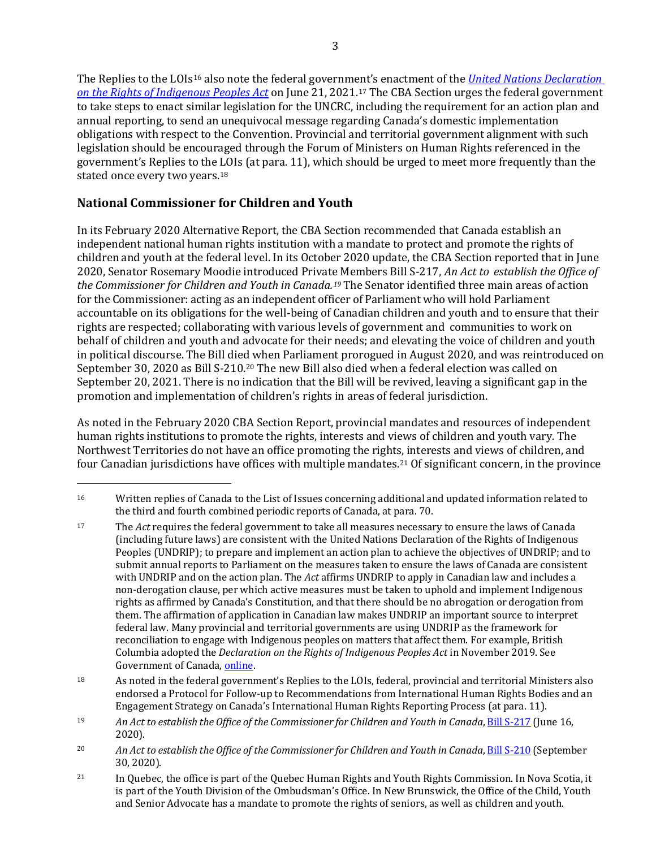The Replies to the LOIs16 also note the federal government's enactment of the *[United Nations Declaration](https://laws-lois.justice.gc.ca/eng/acts/u-2.2/)  [on the Rights of Indigenous Peoples Act](https://laws-lois.justice.gc.ca/eng/acts/u-2.2/)* on June 21, 2021.17 The CBA Section urges the federal government to take steps to enact similar legislation for the UNCRC, including the requirement for an action plan and annual reporting, to send an unequivocal message regarding Canada's domestic implementation obligations with respect to the Convention. Provincial and territorial government alignment with such legislation should be encouraged through the Forum of Ministers on Human Rights referenced in the government's Replies to the LOIs (at para. 11), which should be urged to meet more frequently than the stated once every two years.18

# **National Commissioner for Children and Youth**

In its February 2020 Alternative Report, the CBA Section recommended that Canada establish an independent national human rights institution with a mandate to protect and promote the rights of children and youth at the federal level. In its October 2020 update, the CBA Section reported that in June 2020, Senator Rosemary Moodie introduced Private Members Bill S-217, *An Act to establish the Office of the Commissioner for Children and Youth in Canada.19* The Senator identified three main areas of action for the Commissioner: acting as an independent officer of Parliament who will hold Parliament accountable on its obligations for the well-being of Canadian children and youth and to ensure that their rights are respected; collaborating with various levels of government and communities to work on behalf of children and youth and advocate for their needs; and elevating the voice of children and youth in political discourse. The Bill died when Parliament prorogued in August 2020, and was reintroduced on September 30, 2020 as Bill S-210.20 The new Bill also died when a federal election was called on September 20, 2021. There is no indication that the Bill will be revived, leaving a significant gap in the promotion and implementation of children's rights in areas of federal jurisdiction.

As noted in the February 2020 CBA Section Report, provincial mandates and resources of independent human rights institutions to promote the rights, interests and views of children and youth vary. The Northwest Territories do not have an office promoting the rights, interests and views of children, and four Canadian jurisdictions have offices with multiple mandates.21 Of significant concern, in the province

<sup>16</sup> Written replies of Canada to the List of Issues concerning additional and updated information related to the third and fourth combined periodic reports of Canada, at para. 70.

<sup>17</sup> The *Act* requires the federal government to take all measures necessary to ensure the laws of Canada (including future laws) are consistent with the United Nations Declaration of the Rights of Indigenous Peoples (UNDRIP); to prepare and implement an action plan to achieve the objectives of UNDRIP; and to submit annual reports to Parliament on the measures taken to ensure the laws of Canada are consistent with UNDRIP and on the action plan. The *Act* affirms UNDRIP to apply in Canadian law and includes a non-derogation clause, per which active measures must be taken to uphold and implement Indigenous rights as affirmed by Canada's Constitution, and that there should be no abrogation or derogation from them. The affirmation of application in Canadian law makes UNDRIP an important source to interpret federal law. Many provincial and territorial governments are using UNDRIP as the framework for reconciliation to engage with Indigenous peoples on matters that affect them. For example, British Columbia adopted the *Declaration on the Rights of Indigenous Peoples Act* in November 2019. See Government of Canada, online.

<sup>18</sup> As noted in the federal government's Replies to the LOIs, federal, provincial and territorial Ministers also endorsed a Protocol for Follow-up to Recommendations from International Human Rights Bodies and an Engagement Strategy on Canada's International Human Rights Reporting Process (at para. 11).

<sup>19</sup> *An Act to establish the Office of the Commissioner for Children and Youth in Canada*[, Bill S-217](https://parl.ca/DocumentViewer/en/43-1/bill/S-217/first-reading) (June 16, 2020).

<sup>20</sup> *An Act to establish the Office of the Commissioner for Children and Youth in Canada*[, Bill S-210](https://parl.ca/DocumentViewer/en/43-2/bill/S-210/first-reading) (September 30, 2020).

<sup>&</sup>lt;sup>21</sup> In Quebec, the office is part of the Quebec Human Rights and Youth Rights Commission. In Nova Scotia, it is part of the Youth Division of the Ombudsman's Office. In New Brunswick, the Office of the Child, Youth and Senior Advocate has a mandate to promote the rights of seniors, as well as children and youth.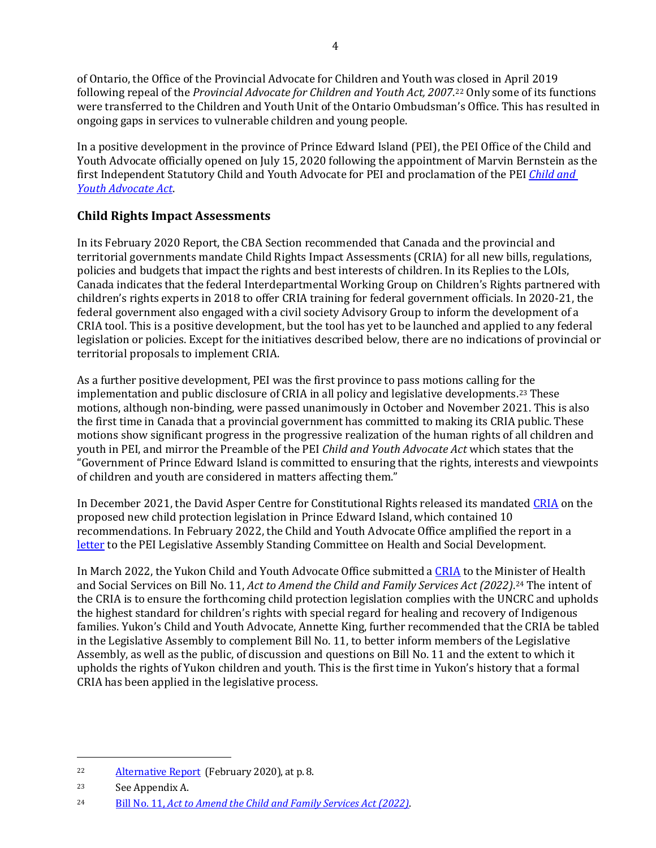of Ontario, the Office of the Provincial Advocate for Children and Youth was closed in April 2019 following repeal of the *Provincial Advocate for Children and Youth Act, 2007*.22 Only some of its functions were transferred to the Children and Youth Unit of the Ontario Ombudsman's Office. This has resulted in ongoing gaps in services to vulnerable children and young people.

In a positive development in the province of Prince Edward Island (PEI), the PEI Office of the Child and Youth Advocate officially opened on July 15, 2020 following the appointment of Marvin Bernstein as the first Independent Statutory Child and Youth Advocate for PEI and proclamation of the PEI *[Child and](https://www.princeedwardisland.ca/sites/default/files/legislation/c-04-3-child_and_youth_advocate_act.pdf)  [Youth Advocate Act](https://www.princeedwardisland.ca/sites/default/files/legislation/c-04-3-child_and_youth_advocate_act.pdf)*.

### **Child Rights Impact Assessments**

In its February 2020 Report, the CBA Section recommended that Canada and the provincial and territorial governments mandate Child Rights Impact Assessments (CRIA) for all new bills, regulations, policies and budgets that impact the rights and best interests of children. In its Replies to the LOIs, Canada indicates that the federal Interdepartmental Working Group on Children's Rights partnered with children's rights experts in 2018 to offer CRIA training for federal government officials. In 2020-21, the federal government also engaged with a civil society Advisory Group to inform the development of a CRIA tool. This is a positive development, but the tool has yet to be launched and applied to any federal legislation or policies. Except for the initiatives described below, there are no indications of provincial or territorial proposals to implement CRIA.

As a further positive development, PEI was the first province to pass motions calling for the implementation and public disclosure of CRIA in all policy and legislative developments.23 These motions, although non-binding, were passed unanimously in October and November 2021. This is also the first time in Canada that a provincial government has committed to making its CRIA public. These motions show significant progress in the progressive realization of the human rights of all children and youth in PEI, and mirror the Preamble of the PEI *Child and Youth Advocate Act* which states that the "Government of Prince Edward Island is committed to ensuring that the rights, interests and viewpoints of children and youth are considered in matters affecting them."

In December 2021, the David Asper Centre for Constitutional Rights released its mandated [CRIA](https://www.childandyouthadvocatepei.ca/sites/www.childandyouthadvocatepei.ca/files/OCYA%20Promoting%20the%20Rights%20re%20CRIA%2012.2.21_0.pdf) on the proposed new child protection legislation in Prince Edward Island, which contained 10 recommendations. In February 2022, the Child and Youth Advocate Office amplified the report in a [letter](https://www.childandyouthadvocatepei.ca/sites/www.childandyouthadvocatepei.ca/files/FINAL%20OCYA%20Submission%20with%20Cover%2002.23.22.pdf) to the PEI Legislative Assembly Standing Committee on Health and Social Development.

In March 2022, the Yukon Child and Youth Advocate Office submitted [a CRIA](https://www.ycao.ca/cria) to the Minister of Health and Social Services on Bill No. 11, *Act to Amend the Child and Family Services Act (2022)*.24 The intent of the CRIA is to ensure the forthcoming child protection legislation complies with the UNCRC and upholds the highest standard for children's rights with special regard for healing and recovery of Indigenous families. Yukon's Child and Youth Advocate, Annette King, further recommended that the CRIA be tabled in the Legislative Assembly to complement Bill No. 11, to better inform members of the Legislative Assembly, as well as the public, of discussion and questions on Bill No. 11 and the extent to which it upholds the rights of Yukon children and youth. This is the first time in Yukon's history that a formal CRIA has been applied in the legislative process.

<sup>22</sup> [Alternative](https://www.cba.org/CMSPages/GetFile.aspx?guid=fdb96dc7-35e0-4b6d-8918-40ba6607582a) Report (February 2020), at p. 8.

<sup>23</sup> See Appendix A.

<sup>24</sup> Bill No. 11, *[Act to Amend the Child and Family Services Act](https://yukonassembly.ca/sites/default/files/2022-03/35-1-bill011-act-amend-child-family-services-act-2022.pdf) (2022)*.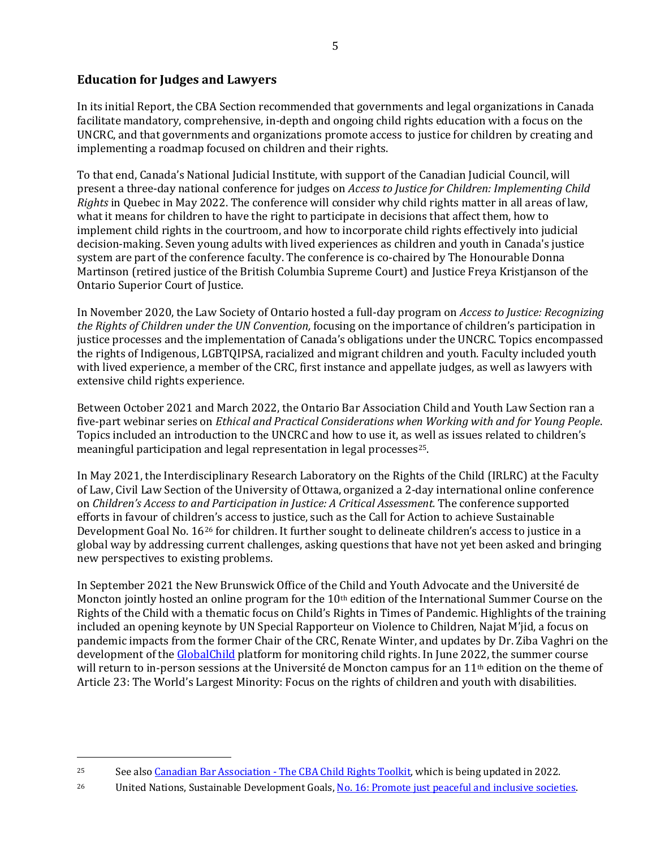### **Education for Judges and Lawyers**

In its initial Report, the CBA Section recommended that governments and legal organizations in Canada facilitate mandatory, comprehensive, in-depth and ongoing child rights education with a focus on the UNCRC, and that governments and organizations promote access to justice for children by creating and implementing a roadmap focused on children and their rights.

To that end, Canada's National Judicial Institute, with support of the Canadian Judicial Council, will present a three-day national conference for judges on *Access to Justice for Children: Implementing Child Rights* in Quebec in May 2022. The conference will consider why child rights matter in all areas of law, what it means for children to have the right to participate in decisions that affect them, how to implement child rights in the courtroom, and how to incorporate child rights effectively into judicial decision-making. Seven young adults with lived experiences as children and youth in Canada's justice system are part of the conference faculty. The conference is co-chaired by The Honourable Donna Martinson (retired justice of the British Columbia Supreme Court) and Justice Freya Kristjanson of the Ontario Superior Court of Justice.

In November 2020, the Law Society of Ontario hosted a full-day program on *Access to Justice: Recognizing the Rights of Children under the UN Convention,* focusing on the importance of children's participation in justice processes and the implementation of Canada's obligations under the UNCRC. Topics encompassed the rights of Indigenous, LGBTQIPSA, racialized and migrant children and youth. Faculty included youth with lived experience, a member of the CRC, first instance and appellate judges, as well as lawyers with extensive child rights experience.

Between October 2021 and March 2022, the Ontario Bar Association Child and Youth Law Section ran a five-part webinar series on *Ethical and Practical Considerations when Working with and for Young People*. Topics included an introduction to the UNCRC and how to use it, as well as issues related to children's meaningful participation and legal representation in legal processes<sup>25</sup>.

In May 2021, the Interdisciplinary Research Laboratory on the Rights of the Child (IRLRC) at the Faculty of Law, Civil Law Section of the University of Ottawa, organized a 2-day international online conference on *Children's Access to and Participation in Justice: A Critical Assessment.* The conference supported efforts in favour of children's access to justice, such as the Call for Action to achieve Sustainable Development Goal No. 1626 for children. It further sought to delineate children's access to justice in a global way by addressing current challenges, asking questions that have not yet been asked and bringing new perspectives to existing problems.

In September 2021 the New Brunswick Office of the Child and Youth Advocate and the Université de Moncton jointly hosted an online program for the 10th edition of the International Summer Course on the Rights of the Child with a thematic focus on Child's Rights in Times of Pandemic. Highlights of the training included an opening keynote by UN Special Rapporteur on Violence to Children, Najat M'jid, a focus on pandemic impacts from the former Chair of the CRC, Renate Winter, and updates by Dr. Ziba Vaghri on the development of th[e GlobalChild](https://www.unb.ca/globalchild/) platform for monitoring child rights. In June 2022, the summer course will return to in-person sessions at the Université de Moncton campus for an 11<sup>th</sup> edition on the theme of Article 23: The World's Largest Minority: Focus on the rights of children and youth with disabilities.

<sup>&</sup>lt;sup>25</sup> See als[o Canadian Bar Association - The CBA Child Rights Toolkit,](https://www.cba.org/Publications-Resources/Practice-Tools/Child-Rights-Toolkit) which is being updated in 2022.

<sup>&</sup>lt;sup>26</sup> United Nations, Sustainable Development Goals, <u>No. 16: Promote just peaceful and inclusive societies</u>.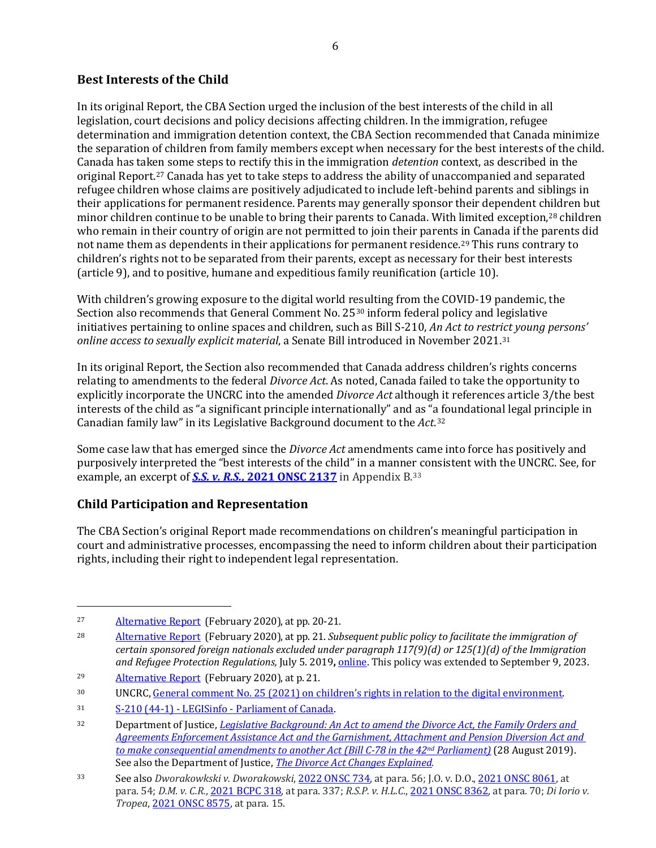### **Best Interests of the Child**

In its original Report, the CBA Section urged the inclusion of the best interests of the child in all legislation, court decisions and policy decisions affecting children. In the immigration, refugee determination and immigration detention context, the CBA Section recommended that Canada minimize the separation of children from family members except when necessary for the best interests of the child. Canada has taken some steps to rectify this in the immigration *detention* context, as described in the original Report.27 Canada has yet to take steps to address the ability of unaccompanied and separated refugee children whose claims are positively adjudicated to include left-behind parents and siblings in their applications for permanent residence. Parents may generally sponsor their dependent children but minor children continue to be unable to bring their parents to Canada. With limited exception,<sup>28</sup> children who remain in their country of origin are not permitted to join their parents in Canada if the parents did not name them as dependents in their applications for permanent residence.<sup>29</sup> This runs contrary to children's rights not to be separated from their parents, except as necessary for their best interests (article 9), and to positive, humane and expeditious family reunification (article 10).

With children's growing exposure to the digital world resulting from the COVID-19 pandemic, the Section also recommends that General Comment No. 2530 inform federal policy and legislative initiatives pertaining to online spaces and children, such as Bill S-210, *An Act to restrict young persons' online access to sexually explicit material*, a Senate Bill introduced in November 2021.31

In its original Report, the Section also recommended that Canada address children's rights concerns relating to amendments to the federal *Divorce Act*. As noted, Canada failed to take the opportunity to explicitly incorporate the UNCRC into the amended *Divorce Act* although it references article 3/the best interests of the child as "a significant principle internationally" and as "a foundational legal principle in Canadian family law" in its Legislative Background document to the *Act*.32

Some case law that has emerged since the *Divorce Act* amendments came into force has positively and purposively interpreted the "best interests of the child" in a manner consistent with the UNCRC. See, for example, an excerpt of *[S.S. v. R.S.](https://canlii.ca/t/jdvc9#par29)***, 2021 ONSC 2137** in Appendix B.33

## **Child Participation and Representation**

The CBA Section's original Report made recommendations on children's meaningful participation in court and administrative processes, encompassing the need to inform children about their participation rights, including their right to independent legal representation.

<sup>27</sup> [Alternative](https://www.cba.org/CMSPages/GetFile.aspx?guid=fdb96dc7-35e0-4b6d-8918-40ba6607582a) Report (February 2020), at pp. 20-21.

<sup>28</sup> [Alternative](https://www.cba.org/CMSPages/GetFile.aspx?guid=fdb96dc7-35e0-4b6d-8918-40ba6607582a) Report (February 2020), at pp. 21. *Subsequent public policy to facilitate the immigration of certain sponsored foreign nationals excluded under paragraph 117(9)(d) or 125(1)(d) of the Immigration and Refugee Protection Regulations,* July 5. 2019**,** [online.](https://www.canada.ca/en/immigration-refugees-citizenship/corporate/mandate/policies-operational-instructions-agreements/excluded-2021.html) This policy was extended to September 9, 2023.

<sup>29</sup> [Alternative](https://www.cba.org/CMSPages/GetFile.aspx?guid=fdb96dc7-35e0-4b6d-8918-40ba6607582a) Report (February 2020), at p. 21.

<sup>30</sup> UNCRC[, General comment No. 25 \(2021\) on children's rights in relation to the digital environment.](https://documents-dds-ny.un.org/doc/UNDOC/GEN/G21/053/43/PDF/G2105343.pdf?OpenElement)

<sup>31</sup> [S-210 \(44-1\) - LEGISinfo - Parliament of Canada.](https://parl.ca/legisinfo/en/bill/44-1/s-210) 

<sup>32</sup> Department of Justice, *[Legislative Background: An Act to amend the Divorce Act, the Family Orders and](https://www.justice.gc.ca/eng/rp-pr/fl-lf/famil/c78/03.html#secA2)  [Agreements Enforcement Assistance Act and the Garnishment, Attachment and Pension Diversion Act and](https://www.justice.gc.ca/eng/rp-pr/fl-lf/famil/c78/03.html#secA2)  [to make consequential amendments to another Act \(Bill C-78 in the 42nd](https://www.justice.gc.ca/eng/rp-pr/fl-lf/famil/c78/03.html#secA2) Parliament)* (28 August 2019). See also the Department of Justice, *The Divorce Act [Changes Explained](https://www.justice.gc.ca/eng/fl-df/cfl-mdf/dace-clde/div48.html)*.

<sup>33</sup> See also *Dworakowkski v. Dworakowski*[, 2022 ONSC 734,](https://canlii.ca/t/jmh0x) at para. 56; J.O. v. D.O.[, 2021 ONSC 8061,](https://www.canlii.org/en/on/onsc/doc/2021/2021onsc8061/2021onsc8061.html?searchUrlHash=AAAAAQAcSi5PLiB2LiBELk8uLCAyMDIxIE9OU0MgODA2MQAAAAAB&resultIndex=1) at para. 54; *D.M. v. C.R.*[, 2021 BCPC 318,](https://www.canlii.org/en/bc/bcpc/doc/2021/2021bcpc318/2021bcpc318.html?searchUrlHash=AAAAAQAdRC5NLiB2LiBDLlIuLCAyMDIxIEJDUEMgMzE4LCAAAAAAAQ&resultIndex=1) at para. 337; *R.S.P. v. H.L.C.*[, 2021 ONSC 8362,](https://www.canlii.org/en/on/onsc/doc/2021/2021onsc8362/2021onsc8362.html?searchUrlHash=AAAAAQAgUi5TLlAuIHYuIEguTC5DLiwgMjAyMSBPTlNDIDgzNjIAAAAAAQ&resultIndex=1) at para. 70; *Di Iorio v. Tropea*[, 2021 ONSC 8575,](https://www.canlii.org/en/on/onsc/doc/2021/2021onsc8575/2021onsc8575.html?searchUrlHash=AAAAAQAiRGkgSW9yaW8gdi4gVHJvcGVhLCAyMDIxIE9OU0MgODU3NQAAAAAB&resultIndex=1) at para. 15.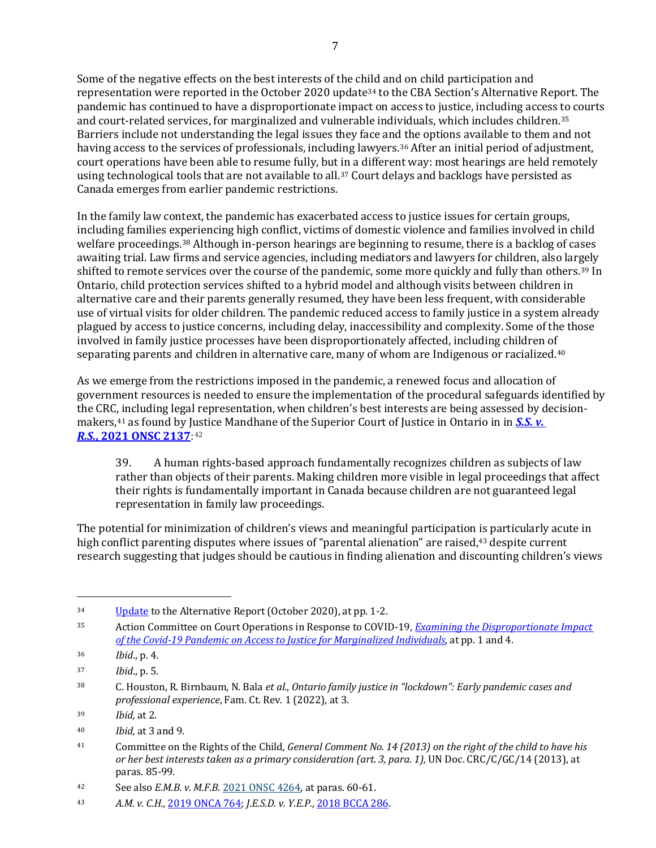Some of the negative effects on the best interests of the child and on child participation and representation were reported in the October 2020 update<sup>34</sup> to the CBA Section's Alternative Report. The pandemic has continued to have a disproportionate impact on access to justice, including access to courts and court-related services, for marginalized and vulnerable individuals, which includes children.35 Barriers include not understanding the legal issues they face and the options available to them and not having access to the services of professionals, including lawyers.36 After an initial period of adjustment, court operations have been able to resume fully, but in a different way: most hearings are held remotely using technological tools that are not available to all.<sup>37</sup> Court delays and backlogs have persisted as Canada emerges from earlier pandemic restrictions.

In the family law context, the pandemic has exacerbated access to justice issues for certain groups, including families experiencing high conflict, victims of domestic violence and families involved in child welfare proceedings.38 Although in-person hearings are beginning to resume, there is a backlog of cases awaiting trial. Law firms and service agencies, including mediators and lawyers for children, also largely shifted to remote services over the course of the pandemic, some more quickly and fully than others.39 In Ontario, child protection services shifted to a hybrid model and although visits between children in alternative care and their parents generally resumed, they have been less frequent, with considerable use of virtual visits for older children. The pandemic reduced access to family justice in a system already plagued by access to justice concerns, including delay, inaccessibility and complexity. Some of the those involved in family justice processes have been disproportionately affected, including children of separating parents and children in alternative care, many of whom are Indigenous or racialized.40

As we emerge from the restrictions imposed in the pandemic, a renewed focus and allocation of government resources is needed to ensure the implementation of the procedural safeguards identified by the CRC, including legal representation, when children's best interests are being assessed by decisionmakers,41 as found by Justice Mandhane of the Superior Court of Justice in Ontario in in *[S.S. v.](https://canlii.ca/t/jdvc9#par29)  R.S.***[, 2021](https://canlii.ca/t/jdvc9#par29) ONSC 2137**:42

39. A human rights-based approach fundamentally recognizes children as subjects of law rather than objects of their parents. Making children more visible in legal proceedings that affect their rights is fundamentally important in Canada because children are not guaranteed legal representation in family law proceedings.

The potential for minimization of children's views and meaningful participation is particularly acute in high conflict parenting disputes where issues of "parental alienation" are raised,<sup>43</sup> despite current research suggesting that judges should be cautious in finding alienation and discounting children's views

<sup>&</sup>lt;sup>34</sup> [Update](https://www.cba.org/CMSPages/GetFile.aspx?guid=9d2fb019-31e6-4466-ab8a-bcfd0f4095bf) to the Alternative Report (October 2020), at pp. 1-2.

<sup>35</sup> Action Committee on Court Operations in Response to COVID-19, *[Examining the Disproportionate Impact](https://www.fja.gc.ca/COVID-19/pdf/Disproportionate-Impact-on-Access-to-Justice-for-Marginalized-Individuals-An-Overview.pdf)  [of the Covid-19 Pandemic on Access to Justice for Marginalized Individuals](https://www.fja.gc.ca/COVID-19/pdf/Disproportionate-Impact-on-Access-to-Justice-for-Marginalized-Individuals-An-Overview.pdf)*, at pp. 1 and 4.

<sup>36</sup> *Ibid*., p. 4.

<sup>37</sup> *Ibid*., p. 5.

<sup>38</sup> C. Houston, R. Birnbaum, N. Bala *et al.*, *Ontario family justice in "lockdown": Early pandemic cases and professional experience*, Fam. Ct. Rev. 1 (2022), at 3.

<sup>39</sup> *Ibid,* at 2.

<sup>40</sup> *Ibid,* at 3 and 9.

<sup>41</sup> Committee on the Rights of the Child*, General Comment No. 14 (2013) on the right of the child to have his*  or her best interests taken as a primary consideration (art. 3, para. 1), UN Doc. CRC/C/GC/14 (2013), at paras. 85-99.

<sup>42</sup> See also *E.M.B. v. M.F.B*. [2021 ONSC 4264,](https://www.canlii.org/en/on/onsc/doc/2021/2021onsc4264/2021onsc4264.html) at paras. 60-61.

<sup>43</sup> *A.M. v. C.H.,* [2019 ONCA 764;](https://www.canlii.org/en/on/onca/doc/2019/2019onca764/2019onca764.html?searchUrlHash=AAAAAQAbQS5NLiB2LiBDLkguLCAyMDE5IE9OQ0EgNzY0AAAAAAE&resultIndex=1) *J.E.S.D. v. Y.E.P.*, [2018 BCCA 286.](https://www.canlii.org/en/bc/bcca/doc/2018/2018bcca286/2018bcca286.html?searchUrlHash=AAAAAQAiSi5FLlMuRC4gdi4gWS5FLlAuLCAyMDE4IEJDQ0EgMjg2LgAAAAAB&resultIndex=1)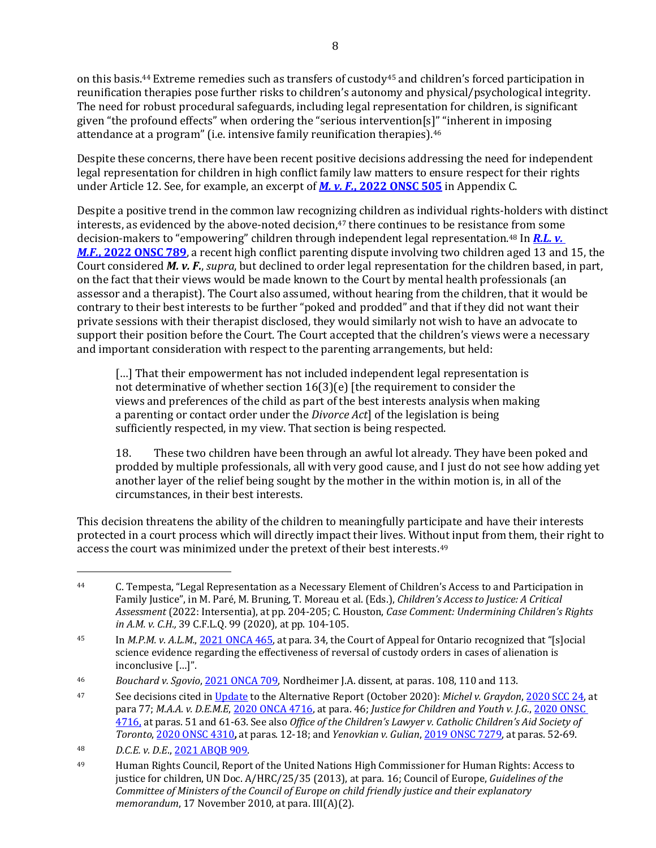on this basis.<sup>44</sup> Extreme remedies such as transfers of custody<sup>45</sup> and children's forced participation in reunification therapies pose further risks to children's autonomy and physical/psychological integrity. The need for robust procedural safeguards, including legal representation for children, is significant given "the profound effects" when ordering the "serious intervention[s]" "inherent in imposing attendance at a program" (i.e. intensive family reunification therapies).<sup>46</sup>

Despite these concerns, there have been recent positive decisions addressing the need for independent legal representation for children in high conflict family law matters to ensure respect for their rights under Article 12. See, for example, an excerpt of *M. v. F.***[, 2022 ONSC 505](https://canlii.ca/t/jlwhz)** in Appendix C.

Despite a positive trend in the common law recognizing children as individual rights-holders with distinct interests, as evidenced by the above-noted decision,<sup>47</sup> there continues to be resistance from some decision-makers to "empowering" children through independent legal representation.48 In *[R.L. v.](https://canlii.ca/t/jm402)  M.F.***, 2022 [ONSC 789](https://canlii.ca/t/jm402)**, a recent high conflict parenting dispute involving two children aged 13 and 15, the Court considered *M. v. F.*, *supra*, but declined to order legal representation for the children based, in part, on the fact that their views would be made known to the Court by mental health professionals (an assessor and a therapist). The Court also assumed, without hearing from the children, that it would be contrary to their best interests to be further "poked and prodded" and that if they did not want their private sessions with their therapist disclosed, they would similarly not wish to have an advocate to support their position before the Court. The Court accepted that the children's views were a necessary and important consideration with respect to the parenting arrangements, but held:

[...] That their empowerment has not included independent legal representation is not determinative of whether section 16(3)(e) [the requirement to consider the views and preferences of the child as part of the best interests analysis when making a parenting or contact order under the *Divorce Act*] of the legislation is being sufficiently respected, in my view. That section is being respected.

18. These two children have been through an awful lot already. They have been poked and prodded by multiple professionals, all with very good cause, and I just do not see how adding yet another layer of the relief being sought by the mother in the within motion is, in all of the circumstances, in their best interests.

This decision threatens the ability of the children to meaningfully participate and have their interests protected in a court process which will directly impact their lives. Without input from them, their right to access the court was minimized under the pretext of their best interests.49

<sup>44</sup> C. Tempesta, "Legal Representation as a Necessary Element of Children's Access to and Participation in Family Justice", in M. Paré, M. Bruning, T. Moreau et al. (Eds.), *Children's Access to Justice: A Critical Assessment* (2022: Intersentia), at pp. 204-205; C. Houston, *Case Comment: Undermining Children's Rights in A.M. v. C.H.,* 39 C.F.L.Q. 99 (2020), at pp. 104-105.

<sup>45</sup> In *M.P.M. v. A.L.M.*[, 2021 ONCA 465,](https://www.canlii.org/en/on/onca/doc/2021/2021onca465/2021onca465.html?searchUrlHash=AAAAAQAfTS5QLk0uIHYuIEEuTC5NLiwgMjAyMSBPTkNBIDQ2NQAAAAAB&resultIndex=1) at para. 34, the Court of Appeal for Ontario recognized that "[s]ocial science evidence regarding the effectiveness of reversal of custody orders in cases of alienation is inconclusive […]".

<sup>46</sup> *Bouchard v. Sgovio*[, 2021 ONCA 709,](https://www.canlii.org/en/on/onca/doc/2021/2021onca709/2021onca709.html?searchUrlHash=AAAAAQANMjAyMSBPTkNBIDcwOQAAAAAB&resultIndex=1) Nordheimer J.A. dissent, at paras. 108, 110 and 113.

<sup>47</sup> See decisions cited in [Update](https://www.cba.org/CMSPages/GetFile.aspx?guid=9d2fb019-31e6-4466-ab8a-bcfd0f4095bf) to the Alternative Report (October 2020): *Michel v. Graydon*[, 2020 SCC 24,](https://www.canlii.org/en/ca/scc/doc/2020/2020scc24/2020scc24.html?searchUrlHash=AAAAAQAeTWljaGVsIHYuIEdyYXlkb24sIDIwMjAgU0NDIDI0AAAAAAE&resultIndex=1) at para 77; *M.A.A. v. D.E.M.E*, [2020 ONCA 4716,](file://dc-shares/legal/WP/BILLS/22-o-UNCRC%20Alternative%20Report/M.A.A.%20v.%20D.E.M.E,%202020%20ONCA%204716,) at para. 46; *Justice for Children and Youth v. J.G.*[, 2020 ONSC](https://www.canlii.org/en/on/onscdc/doc/2020/2020onsc4716/2020onsc4716.html?searchUrlHash=AAAAAQAQMjAyMCBPTlNDIDQ3MTYsIAAAAAAB&resultIndex=1)  [4716,](https://www.canlii.org/en/on/onscdc/doc/2020/2020onsc4716/2020onsc4716.html?searchUrlHash=AAAAAQAQMjAyMCBPTlNDIDQ3MTYsIAAAAAAB&resultIndex=1) at paras. 51 and 61-63. See also *Office of the Children's Lawyer v. Catholic Children's Aid Society of Toronto*, [2020 ONSC 4310](https://www.canlii.org/en/on/onsc/doc/2020/2020onsc4310/2020onsc4310.html?searchUrlHash=AAAAAQAOMjAyMCBPTlNDIDQzMTAAAAAAAQ&resultIndex=1)**,** at paras. 12-18; and *Yenovkian v. Gulian*, [2019 ONSC 7279,](https://canlii.ca/t/j4gqn) at paras. 52-69.

<sup>48</sup> *D.C.E. v. D.E*., [2021 ABQB 909.](https://www.canlii.org/en/ab/abqb/doc/2021/2021abqb909/2021abqb909.html?searchUrlHash=AAAAAQANMjAyMSBBQlFCIDkwOQAAAAAB&resultIndex=1)

<sup>49</sup> Human Rights Council, Report of the United Nations High Commissioner for Human Rights: Access to justice for children, UN Doc. A/HRC/25/35 (2013), at para. 16; Council of Europe, *Guidelines of the Committee of Ministers of the Council of Europe on child friendly justice and their explanatory memorandum*, 17 November 2010, at para. III(A)(2).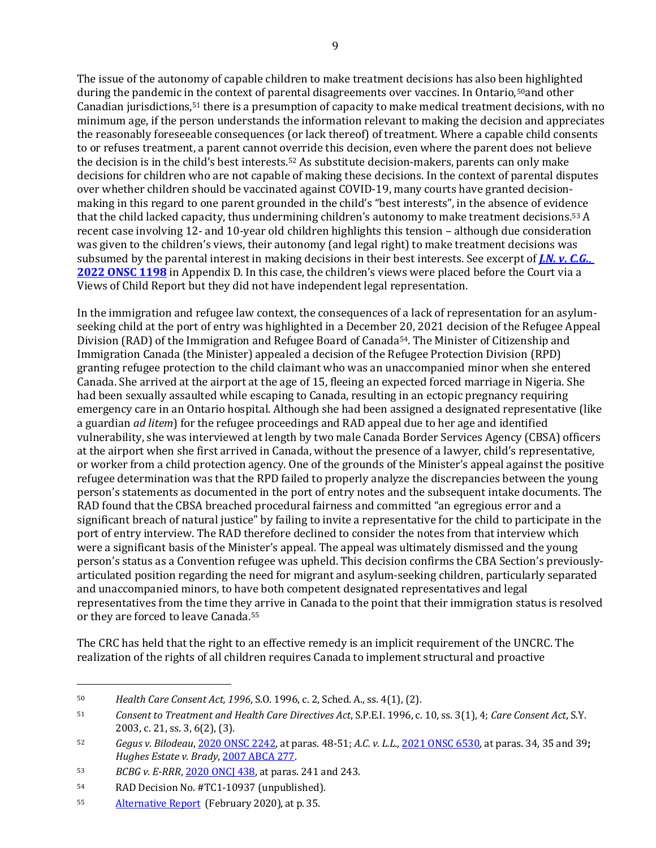The issue of the autonomy of capable children to make treatment decisions has also been highlighted during the pandemic in the context of parental disagreements over vaccines. In Ontario,<sup>50</sup>and other Canadian jurisdictions,51 there is a presumption of capacity to make medical treatment decisions, with no minimum age, if the person understands the information relevant to making the decision and appreciates the reasonably foreseeable consequences (or lack thereof) of treatment. Where a capable child consents to or refuses treatment, a parent cannot override this decision, even where the parent does not believe the decision is in the child's best interests.52 As substitute decision-makers, parents can only make decisions for children who are not capable of making these decisions. In the context of parental disputes over whether children should be vaccinated against COVID-19, many courts have granted decisionmaking in this regard to one parent grounded in the child's "best interests", in the absence of evidence that the child lacked capacity, thus undermining children's autonomy to make treatment decisions.53 A recent case involving 12- and 10-year old children highlights this tension – although due consideration was given to the children's views, their autonomy (and legal right) to make treatment decisions was subsumed by the parental interest in making decisions in their best interests. See excerpt of *[J.N. v. C.G.](https://canlii.ca/t/jmk30)*, **[2022 ONSC 1198](https://canlii.ca/t/jmk30)** in Appendix D. In this case, the children's views were placed before the Court via a Views of Child Report but they did not have independent legal representation.

In the immigration and refugee law context, the consequences of a lack of representation for an asylumseeking child at the port of entry was highlighted in a December 20, 2021 decision of the Refugee Appeal Division (RAD) of the Immigration and Refugee Board of Canada<sup>54</sup>. The Minister of Citizenship and Immigration Canada (the Minister) appealed a decision of the Refugee Protection Division (RPD) granting refugee protection to the child claimant who was an unaccompanied minor when she entered Canada. She arrived at the airport at the age of 15, fleeing an expected forced marriage in Nigeria. She had been sexually assaulted while escaping to Canada, resulting in an ectopic pregnancy requiring emergency care in an Ontario hospital. Although she had been assigned a designated representative (like a guardian *ad litem*) for the refugee proceedings and RAD appeal due to her age and identified vulnerability, she was interviewed at length by two male Canada Border Services Agency (CBSA) officers at the airport when she first arrived in Canada, without the presence of a lawyer, child's representative, or worker from a child protection agency. One of the grounds of the Minister's appeal against the positive refugee determination was that the RPD failed to properly analyze the discrepancies between the young person's statements as documented in the port of entry notes and the subsequent intake documents. The RAD found that the CBSA breached procedural fairness and committed "an egregious error and a significant breach of natural justice" by failing to invite a representative for the child to participate in the port of entry interview. The RAD therefore declined to consider the notes from that interview which were a significant basis of the Minister's appeal. The appeal was ultimately dismissed and the young person's status as a Convention refugee was upheld. This decision confirms the CBA Section's previouslyarticulated position regarding the need for migrant and asylum-seeking children, particularly separated and unaccompanied minors, to have both competent designated representatives and legal representatives from the time they arrive in Canada to the point that their immigration status is resolved or they are forced to leave Canada.55

The CRC has held that the right to an effective remedy is an implicit requirement of the UNCRC. The realization of the rights of all children requires Canada to implement structural and proactive

<sup>50</sup> *Health Care Consent Act, 1996*, S.O. 1996, c. 2, Sched. A., ss. 4(1), (2).

<sup>51</sup> *Consent to Treatment and Health Care Directives Act*, S.P.E.I. 1996, c. 10, ss. 3(1), 4; *Care Consent Act*, S.Y. 2003, c. 21, ss. 3, 6(2), (3).

<sup>52</sup> *Gegus v. Bilodeau*, [2020 ONSC 2242,](https://www.canlii.org/en/on/onsc/doc/2020/2020onsc2242/2020onsc2242.html?searchUrlHash=AAAAAQAOMjAyMCBPTlNDIDIyNDIAAAAAAQ&resultIndex=5) at paras. 48-51; *A.C. v. L.L.*[, 2021 ONSC 6530,](https://www.canlii.org/en/on/onsc/doc/2021/2021onsc6530/2021onsc6530.html?searchUrlHash=AAAAAQAOMjAyMSBPTlNDIDY1MzAAAAAAAQ&resultIndex=1) at paras. 34, 35 and 39**;**  *Hughes Estate v. Brady*, [2007 ABCA 277.](https://www.canlii.org/en/ab/abca/doc/2007/2007abca277/2007abca277.html?searchUrlHash=AAAAAQAmSHVnaGVzIEVzdGF0ZSB2LiBIdWdoZXMsIDIwMDcgQUJDQSAyMi4AAAAAAQ&resultIndex=1)

<sup>53</sup> *BCBG v. E-RRR*[, 2020 ONCJ 438,](https://canlii.ca/t/j9z23) at paras. 241 and 243.

<sup>54</sup> RAD Decision No. #TC1-10937 (unpublished).

<sup>55</sup> [Alternative](https://www.cba.org/CMSPages/GetFile.aspx?guid=fdb96dc7-35e0-4b6d-8918-40ba6607582a) Report (February 2020), at p. 35.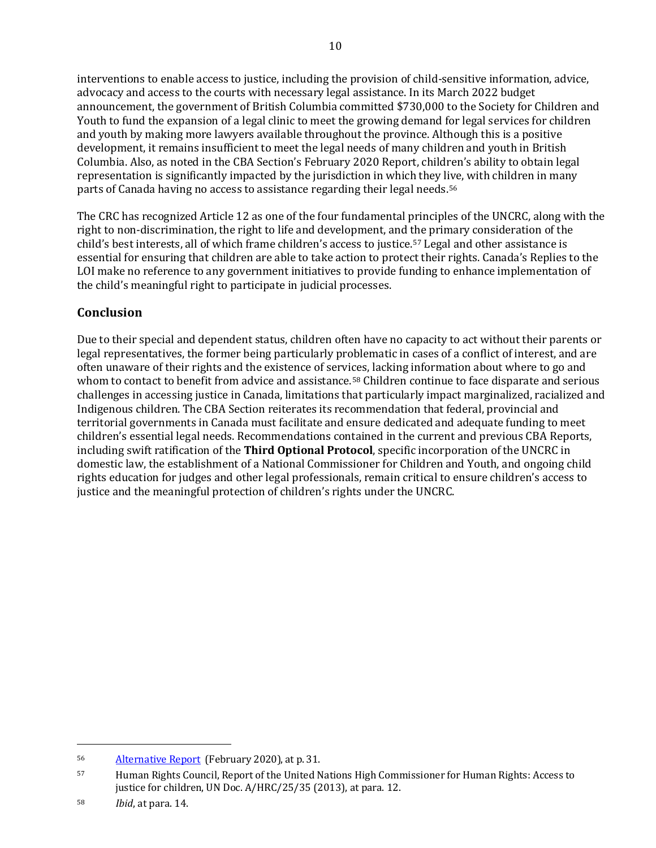interventions to enable access to justice, including the provision of child-sensitive information, advice, advocacy and access to the courts with necessary legal assistance. In its March 2022 budget announcement, the government of British Columbia committed \$730,000 to the Society for Children and Youth to fund the expansion of a legal clinic to meet the growing demand for legal services for children and youth by making more lawyers available throughout the province. Although this is a positive development, it remains insufficient to meet the legal needs of many children and youth in British Columbia. Also, as noted in the CBA Section's February 2020 Report, children's ability to obtain legal representation is significantly impacted by the jurisdiction in which they live, with children in many parts of Canada having no access to assistance regarding their legal needs.56

The CRC has recognized Article 12 as one of the four fundamental principles of the UNCRC, along with the right to non-discrimination, the right to life and development, and the primary consideration of the child's best interests, all of which frame children's access to justice.57 Legal and other assistance is essential for ensuring that children are able to take action to protect their rights. Canada's Replies to the LOI make no reference to any government initiatives to provide funding to enhance implementation of the child's meaningful right to participate in judicial processes.

## **Conclusion**

Due to their special and dependent status, children often have no capacity to act without their parents or legal representatives, the former being particularly problematic in cases of a conflict of interest, and are often unaware of their rights and the existence of services, lacking information about where to go and whom to contact to benefit from advice and assistance.<sup>58</sup> Children continue to face disparate and serious challenges in accessing justice in Canada, limitations that particularly impact marginalized, racialized and Indigenous children. The CBA Section reiterates its recommendation that federal, provincial and territorial governments in Canada must facilitate and ensure dedicated and adequate funding to meet children's essential legal needs. Recommendations contained in the current and previous CBA Reports, including swift ratification of the **Third Optional Protocol**, specific incorporation of the UNCRC in domestic law, the establishment of a National Commissioner for Children and Youth, and ongoing child rights education for judges and other legal professionals, remain critical to ensure children's access to justice and the meaningful protection of children's rights under the UNCRC.

<sup>56</sup> [Alternative](https://www.cba.org/CMSPages/GetFile.aspx?guid=fdb96dc7-35e0-4b6d-8918-40ba6607582a) Report (February 2020), at p. 31.

<sup>57</sup> Human Rights Council, Report of the United Nations High Commissioner for Human Rights: Access to justice for children, UN Doc. A/HRC/25/35 (2013), at para. 12.

<sup>58</sup> *Ibid*, at para. 14.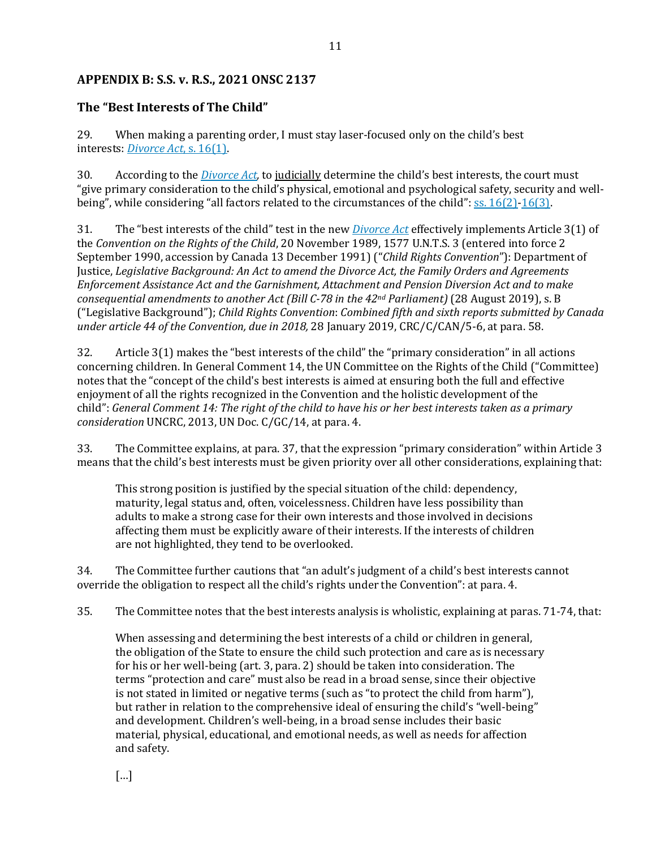### **APPENDIX B: [S.S. v. R.S.,](https://canlii.ca/t/jdvc9#par29) 2021 ONSC 2137**

### **The "Best Interests of The Child"**

29. When making a parenting order, I must stay laser-focused only on the child's best interests: *[Divorce Act](https://www.canlii.org/en/ca/laws/stat/rsc-1985-c-3-2nd-supp/latest/rsc-1985-c-3-2nd-supp.html#sec16subsec1_smooth)*, s. 16(1).

30. According to the *[Divorce Act,](https://www.canlii.org/en/ca/laws/stat/rsc-1985-c-3-2nd-supp/latest/rsc-1985-c-3-2nd-supp.html)* to judicially determine the child's best interests, the court must "give primary consideration to the child's physical, emotional and psychological safety, security and wellbeing", while considering "all factors related to the circumstances of the child": [ss. 16\(2\)-](https://www.canlii.org/en/ca/laws/stat/rsc-1985-c-3-2nd-supp/latest/rsc-1985-c-3-2nd-supp.html#sec16subsec2_smooth)[16\(3\).](https://www.canlii.org/en/ca/laws/stat/rsc-1985-c-3-2nd-supp/latest/rsc-1985-c-3-2nd-supp.html#sec16subsec3_smooth)

31. The "best interests of the child" test in the new *[Divorce Act](https://www.canlii.org/en/ca/laws/stat/rsc-1985-c-3-2nd-supp/latest/rsc-1985-c-3-2nd-supp.html)* effectively implements Article 3(1) of the *Convention on the Rights of the Child*, 20 November 1989, 1577 U.N.T.S. 3 (entered into force 2 September 1990, accession by Canada 13 December 1991) ("*Child Rights Convention*"): Department of Justice, *Legislative Background: An Act to amend the Divorce Act, the Family Orders and Agreements Enforcement Assistance Act and the Garnishment, Attachment and Pension Diversion Act and to make consequential amendments to another Act (Bill C-78 in the 42nd Parliament)* (28 August 2019), s. B ("Legislative Background"); *Child Rights Convention*: *Combined fifth and sixth reports submitted by Canada under article 44 of the Convention, due in 2018,* 28 January 2019, CRC/C/CAN/5-6, at para. 58.

32. Article 3(1) makes the "best interests of the child" the "primary consideration" in all actions concerning children. In General Comment 14, the UN Committee on the Rights of the Child ("Committee) notes that the "concept of the child's best interests is aimed at ensuring both the full and effective enjoyment of all the rights recognized in the Convention and the holistic development of the child": *General Comment 14: The right of the child to have his or her best interests taken as a primary consideration* UNCRC, 2013, UN Doc. C/GC/14, at para. 4.

33. The Committee explains, at para. 37, that the expression "primary consideration" within Article 3 means that the child's best interests must be given priority over all other considerations, explaining that:

This strong position is justified by the special situation of the child: dependency, maturity, legal status and, often, voicelessness. Children have less possibility than adults to make a strong case for their own interests and those involved in decisions affecting them must be explicitly aware of their interests. If the interests of children are not highlighted, they tend to be overlooked.

34. The Committee further cautions that "an adult's judgment of a child's best interests cannot override the obligation to respect all the child's rights under the Convention": at para. 4.

35. The Committee notes that the best interests analysis is wholistic, explaining at paras. 71-74, that:

When assessing and determining the best interests of a child or children in general, the obligation of the State to ensure the child such protection and care as is necessary for his or her well-being (art. 3, para. 2) should be taken into consideration. The terms "protection and care" must also be read in a broad sense, since their objective is not stated in limited or negative terms (such as "to protect the child from harm"), but rather in relation to the comprehensive ideal of ensuring the child's "well-being" and development. Children's well-being, in a broad sense includes their basic material, physical, educational, and emotional needs, as well as needs for affection and safety.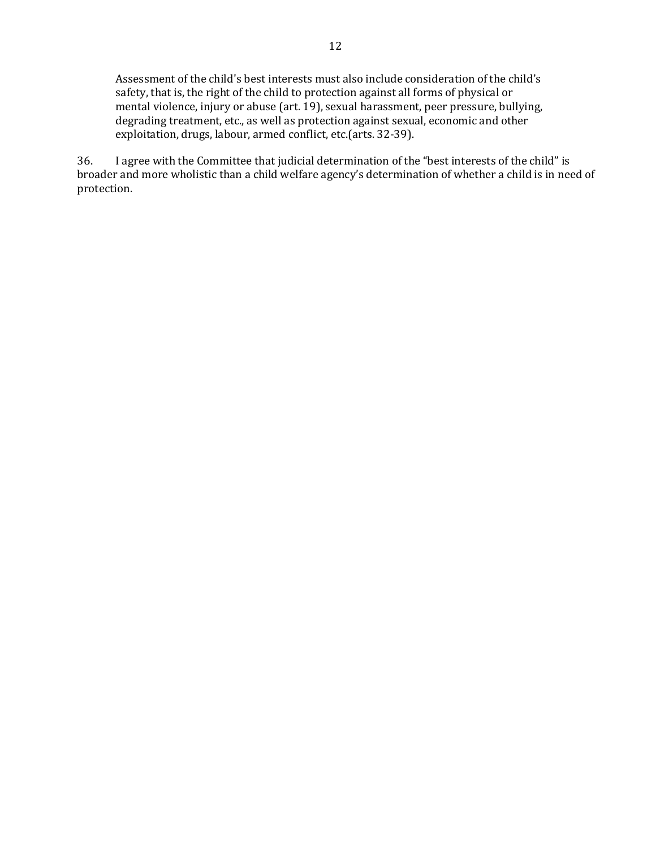Assessment of the child's best interests must also include consideration of the child's safety, that is, the right of the child to protection against all forms of physical or mental violence, injury or abuse (art. 19), sexual harassment, peer pressure, bullying, degrading treatment, etc., as well as protection against sexual, economic and other exploitation, drugs, labour, armed conflict, etc.(arts. 32-39).

36. I agree with the Committee that judicial determination of the "best interests of the child" is broader and more wholistic than a child welfare agency's determination of whether a child is in need of protection.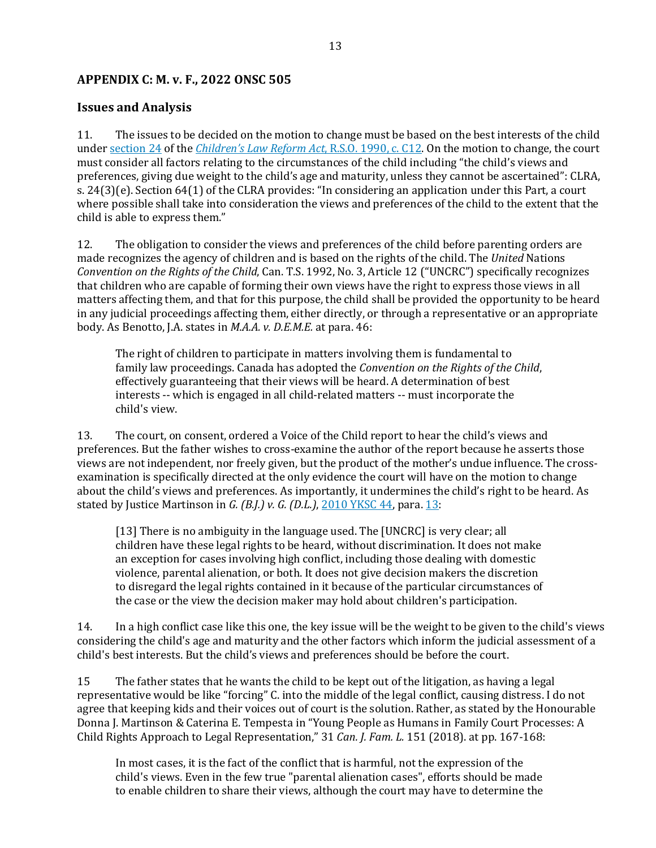### **APPENDIX C: [M. v. F., 2022 ONSC 505](https://canlii.ca/t/jlwhz)**

#### **Issues and Analysis**

11. The issues to be decided on the motion to change must be based on the best interests of the child under [section 24](https://www.canlii.org/en/on/laws/stat/rso-1990-c-c12/latest/rso-1990-c-c12.html#sec24_smooth) of the *[Children's Law Reform Act](https://www.canlii.org/en/on/laws/stat/rso-1990-c-c12/latest/rso-1990-c-c12.html)*, R.S.O. 1990, c. C12. On the motion to change, the court must consider all factors relating to the circumstances of the child including "the child's views and preferences, giving due weight to the child's age and maturity, unless they cannot be ascertained": CLRA, s. 24(3)(e). Section 64(1) of the CLRA provides: "In considering an application under this Part, a court where possible shall take into consideration the views and preferences of the child to the extent that the child is able to express them."

12. The obligation to consider the views and preferences of the child before parenting orders are made recognizes the agency of children and is based on the rights of the child. The *United* Nations *Convention on the Rights of the Child*, Can. T.S. 1992, No. 3, Article 12 ("UNCRC") specifically recognizes that children who are capable of forming their own views have the right to express those views in all matters affecting them, and that for this purpose, the child shall be provided the opportunity to be heard in any judicial proceedings affecting them, either directly, or through a representative or an appropriate body. As Benotto, J.A. states in *M.A.A. v. D.E.M.E.* at para. 46:

The right of children to participate in matters involving them is fundamental to family law proceedings. Canada has adopted the *Convention on the Rights of the Child*, effectively guaranteeing that their views will be heard. A determination of best interests -- which is engaged in all child-related matters -- must incorporate the child's view.

13. The court, on consent, ordered a Voice of the Child report to hear the child's views and preferences. But the father wishes to cross-examine the author of the report because he asserts those views are not independent, nor freely given, but the product of the mother's undue influence. The crossexamination is specifically directed at the only evidence the court will have on the motion to change about the child's views and preferences. As importantly, it undermines the child's right to be heard. As stated by Justice Martinson in *G. (B.J.) v. G. (D.L.)*, [2010 YKSC 44,](https://www.canlii.org/en/yk/yksc/doc/2010/2010yksc44/2010yksc44.html) para. [13:](https://www.canlii.org/en/yk/yksc/doc/2010/2010yksc44/2010yksc44.html#par13)

[13] There is no ambiguity in the language used. The [UNCRC] is very clear; all children have these legal rights to be heard, without discrimination. It does not make an exception for cases involving high conflict, including those dealing with domestic violence, parental alienation, or both. It does not give decision makers the discretion to disregard the legal rights contained in it because of the particular circumstances of the case or the view the decision maker may hold about children's participation.

14. In a high conflict case like this one, the key issue will be the weight to be given to the child's views considering the child's age and maturity and the other factors which inform the judicial assessment of a child's best interests. But the child's views and preferences should be before the court.

15 The father states that he wants the child to be kept out of the litigation, as having a legal representative would be like "forcing" C. into the middle of the legal conflict, causing distress. I do not agree that keeping kids and their voices out of court is the solution. Rather, as stated by the Honourable Donna J. Martinson & Caterina E. Tempesta in "Young People as Humans in Family Court Processes: A Child Rights Approach to Legal Representation," 31 *Can. J. Fam. L.* 151 (2018). at pp. 167-168:

In most cases, it is the fact of the conflict that is harmful, not the expression of the child's views. Even in the few true "parental alienation cases", efforts should be made to enable children to share their views, although the court may have to determine the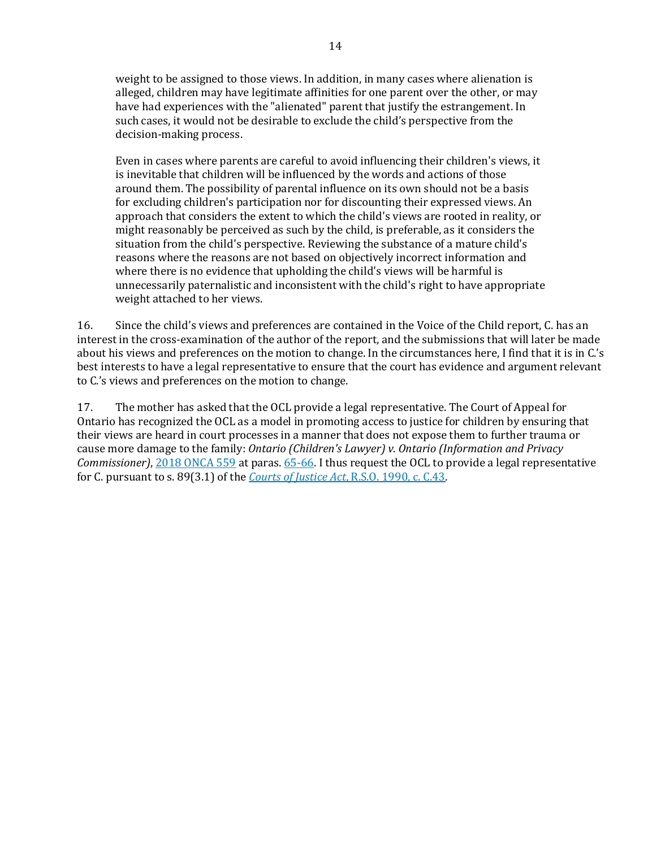weight to be assigned to those views. In addition, in many cases where alienation is alleged, children may have legitimate affinities for one parent over the other, or may have had experiences with the "alienated" parent that justify the estrangement. In such cases, it would not be desirable to exclude the child's perspective from the decision-making process.

Even in cases where parents are careful to avoid influencing their children's views, it is inevitable that children will be influenced by the words and actions of those around them. The possibility of parental influence on its own should not be a basis for excluding children's participation nor for discounting their expressed views. An approach that considers the extent to which the child's views are rooted in reality, or might reasonably be perceived as such by the child, is preferable, as it considers the situation from the child's perspective. Reviewing the substance of a mature child's reasons where the reasons are not based on objectively incorrect information and where there is no evidence that upholding the child's views will be harmful is unnecessarily paternalistic and inconsistent with the child's right to have appropriate weight attached to her views.

16. Since the child's views and preferences are contained in the Voice of the Child report, C. has an interest in the cross-examination of the author of the report, and the submissions that will later be made about his views and preferences on the motion to change. In the circumstances here, I find that it is in C.'s best interests to have a legal representative to ensure that the court has evidence and argument relevant to C.'s views and preferences on the motion to change.

17. The mother has asked that the OCL provide a legal representative. The Court of Appeal for Ontario has recognized the OCL as a model in promoting access to justice for children by ensuring that their views are heard in court processes in a manner that does not expose them to further trauma or cause more damage to the family: *Ontario (Children's Lawyer) v. Ontario (Information and Privacy Commissioner)*, [2018 ONCA 559](https://www.canlii.org/en/on/onca/doc/2018/2018onca559/2018onca559.html) at paras. [65-66.](https://www.canlii.org/en/on/onca/doc/2018/2018onca559/2018onca559.html#par65) I thus request the OCL to provide a legal representative for C. pursuant to s. 89(3.1) of the *[Courts of Justice Act](https://www.canlii.org/en/on/laws/stat/rso-1990-c-c43/latest/rso-1990-c-c43.html)*, R.S.O. 1990, c. C.43.